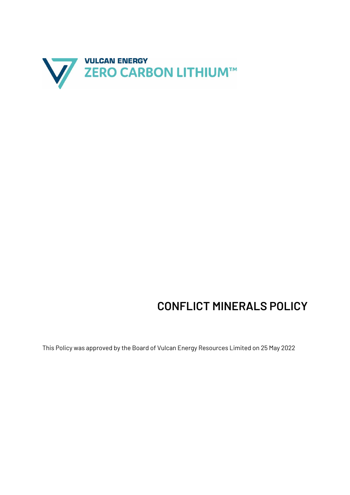

## **CONFLICT MINERALS POLICY**

This Policy was approved by the Board of Vulcan Energy Resources Limited on 25 May 2022